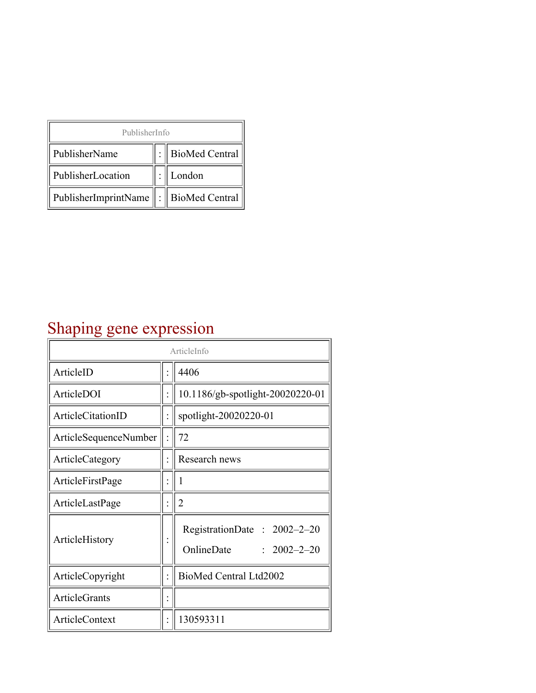| PublisherInfo                                   |  |                    |  |  |
|-------------------------------------------------|--|--------------------|--|--|
| PublisherName                                   |  | :   BioMed Central |  |  |
| PublisherLocation                               |  | London             |  |  |
| PublisherImprintName $\ \cdot\ $ BioMed Central |  |                    |  |  |

## Shaping gene expression

| ArticleInfo                  |  |                                                                |
|------------------------------|--|----------------------------------------------------------------|
| ArticleID                    |  | 4406                                                           |
| ArticleDOI                   |  | 10.1186/gb-spotlight-20020220-01                               |
| ArticleCitationID            |  | spotlight-20020220-01                                          |
| <b>ArticleSequenceNumber</b> |  | 72                                                             |
| ArticleCategory              |  | Research news                                                  |
| ArticleFirstPage             |  | 1                                                              |
| ArticleLastPage              |  | $\overline{2}$                                                 |
| ArticleHistory               |  | RegistrationDate: 2002-2-20<br>OnlineDate<br>$: 2002 - 2 - 20$ |
| ArticleCopyright             |  | BioMed Central Ltd2002                                         |
| <b>ArticleGrants</b>         |  |                                                                |
| ArticleContext               |  | 130593311                                                      |